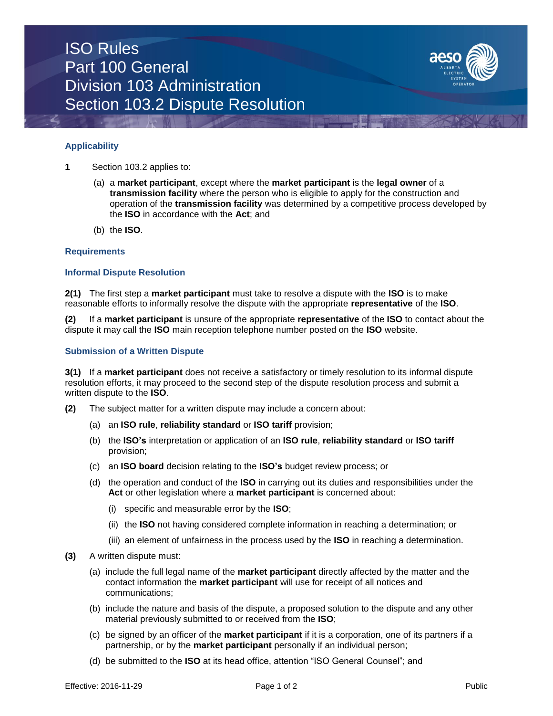# ISO Rules Part 100 General Division 103 Administration Section 103.2 Dispute Resolution



# **Applicability**

- **1** Section 103.2 applies to:
	- (a) a **market participant**, except where the **market participant** is the **legal owner** of a **transmission facility** where the person who is eligible to apply for the construction and operation of the **transmission facility** was determined by a competitive process developed by the **ISO** in accordance with the **Act**; and
	- (b) the **ISO**.

# **Requirements**

# **Informal Dispute Resolution**

**2(1)** The first step a **market participant** must take to resolve a dispute with the **ISO** is to make reasonable efforts to informally resolve the dispute with the appropriate **representative** of the **ISO**.

**(2)** If a **market participant** is unsure of the appropriate **representative** of the **ISO** to contact about the dispute it may call the **ISO** main reception telephone number posted on the **ISO** website.

# **Submission of a Written Dispute**

**3(1)** If a **market participant** does not receive a satisfactory or timely resolution to its informal dispute resolution efforts, it may proceed to the second step of the dispute resolution process and submit a written dispute to the **ISO**.

- **(2)** The subject matter for a written dispute may include a concern about:
	- (a) an **ISO rule**, **reliability standard** or **ISO tariff** provision;
	- (b) the **ISO's** interpretation or application of an **ISO rule**, **reliability standard** or **ISO tariff** provision;
	- (c) an **ISO board** decision relating to the **ISO's** budget review process; or
	- (d) the operation and conduct of the **ISO** in carrying out its duties and responsibilities under the **Act** or other legislation where a **market participant** is concerned about:
		- (i) specific and measurable error by the **ISO**;
		- (ii) the **ISO** not having considered complete information in reaching a determination; or
		- (iii) an element of unfairness in the process used by the **ISO** in reaching a determination.
- **(3)** A written dispute must:
	- (a) include the full legal name of the **market participant** directly affected by the matter and the contact information the **market participant** will use for receipt of all notices and communications;
	- (b) include the nature and basis of the dispute, a proposed solution to the dispute and any other material previously submitted to or received from the **ISO**;
	- (c) be signed by an officer of the **market participant** if it is a corporation, one of its partners if a partnership, or by the **market participant** personally if an individual person;
	- (d) be submitted to the **ISO** at its head office, attention "ISO General Counsel"; and